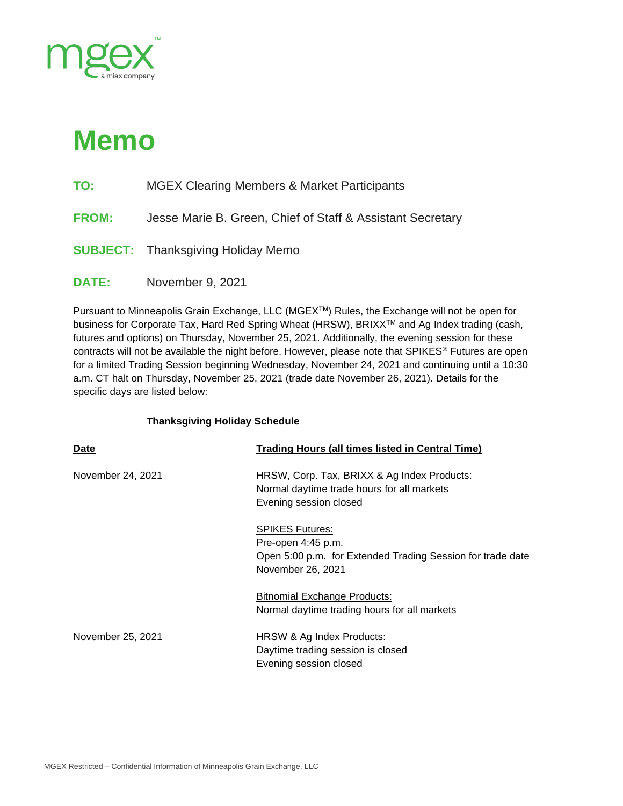

# **Memo**

- **TO:** MGEX Clearing Members & Market Participants
- **FROM:** Jesse Marie B. Green, Chief of Staff & Assistant Secretary
- **SUBJECT:** Thanksgiving Holiday Memo
- **DATE:** November 9, 2021

Pursuant to Minneapolis Grain Exchange, LLC (MGEXTM) Rules, the Exchange will not be open for business for Corporate Tax, Hard Red Spring Wheat (HRSW), BRIXXTM and Ag Index trading (cash, futures and options) on Thursday, November 25, 2021. Additionally, the evening session for these contracts will not be available the night before. However, please note that SPIKES<sup>®</sup> Futures are open for a limited Trading Session beginning Wednesday, November 24, 2021 and continuing until a 10:30 a.m. CT halt on Thursday, November 25, 2021 (trade date November 26, 2021). Details for the specific days are listed below:

## **Thanksgiving Holiday Schedule**

| <b>Date</b>       | <b>Trading Hours (all times listed in Central Time)</b>                                                                         |
|-------------------|---------------------------------------------------------------------------------------------------------------------------------|
| November 24, 2021 | <b>HRSW, Corp. Tax, BRIXX &amp; Ag Index Products:</b><br>Normal daytime trade hours for all markets<br>Evening session closed  |
|                   | <b>SPIKES Futures:</b><br>Pre-open 4:45 p.m.<br>Open 5:00 p.m. for Extended Trading Session for trade date<br>November 26, 2021 |
|                   | <b>Bitnomial Exchange Products:</b><br>Normal daytime trading hours for all markets                                             |
| November 25, 2021 | HRSW & Ag Index Products:<br>Daytime trading session is closed<br>Evening session closed                                        |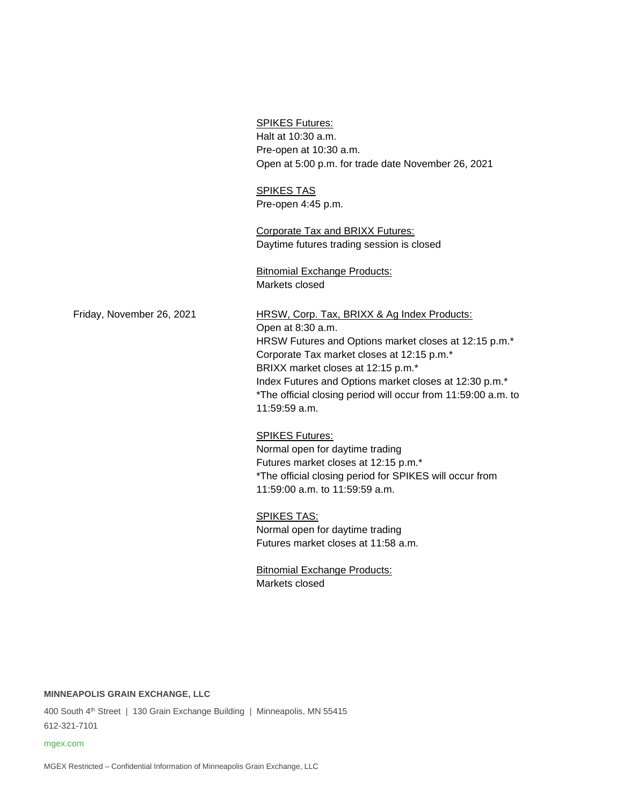|                           | <b>SPIKES Futures:</b><br>Halt at 10:30 a.m.<br>Pre-open at 10:30 a.m.<br>Open at 5:00 p.m. for trade date November 26, 2021                                                                                                                                                                                                                              |
|---------------------------|-----------------------------------------------------------------------------------------------------------------------------------------------------------------------------------------------------------------------------------------------------------------------------------------------------------------------------------------------------------|
|                           | <b>SPIKES TAS</b><br>Pre-open 4:45 p.m.                                                                                                                                                                                                                                                                                                                   |
|                           | Corporate Tax and BRIXX Futures:<br>Daytime futures trading session is closed                                                                                                                                                                                                                                                                             |
|                           | <b>Bitnomial Exchange Products:</b><br>Markets closed                                                                                                                                                                                                                                                                                                     |
| Friday, November 26, 2021 | HRSW, Corp. Tax, BRIXX & Ag Index Products:<br>Open at 8:30 a.m.<br>HRSW Futures and Options market closes at 12:15 p.m.*<br>Corporate Tax market closes at 12:15 p.m.*<br>BRIXX market closes at 12:15 p.m.*<br>Index Futures and Options market closes at 12:30 p.m.*<br>*The official closing period will occur from 11:59:00 a.m. to<br>11:59:59 a.m. |
|                           | <b>SPIKES Futures:</b><br>Normal open for daytime trading<br>Futures market closes at 12:15 p.m.*<br>*The official closing period for SPIKES will occur from<br>11:59:00 a.m. to 11:59:59 a.m.                                                                                                                                                            |
|                           | <b>SPIKES TAS:</b><br>Normal open for daytime trading<br>Futures market closes at 11:58 a.m.                                                                                                                                                                                                                                                              |
|                           | <b>Bitnomial Exchange Products:</b><br>Markets closed                                                                                                                                                                                                                                                                                                     |

**MINNEAPOLIS GRAIN EXCHANGE, LLC**

400 South 4<sup>th</sup> Street | 130 Grain Exchange Building | Minneapolis, MN 55415 612-321-7101

#### mgex.com